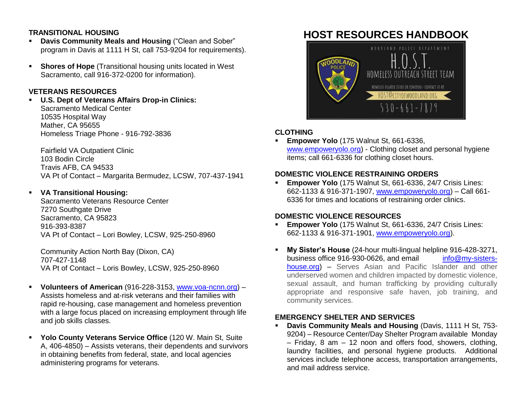### **TRANSITIONAL HOUSING**

- **Davis Community Meals and Housing** ("Clean and Sober" program in Davis at 1111 H St, call 753-9204 for requirements).
- **Shores of Hope** (Transitional housing units located in West) Sacramento, call 916-372-0200 for information).

# **VETERANS RESOURCES**

 **U.S. Dept of Veterans Affairs Drop-in Clinics:** Sacramento Medical Center 10535 Hospital Way Mather, CA 95655 Homeless Triage Phone - 916-792-3836

Fairfield VA Outpatient Clinic 103 Bodin Circle Travis AFB, CA 94533 VA Pt of Contact – Margarita Bermudez, LCSW, 707-437-1941

## **VA Transitional Housing:**

Sacramento Veterans Resource Center 7270 Southgate Drive Sacramento, CA 95823 916-393-8387 VA Pt of Contact – Lori Bowley, LCSW, 925-250-8960

Community Action North Bay (Dixon, CA) 707-427-1148 VA Pt of Contact – Loris Bowley, LCSW, 925-250-8960

- **Volunteers of American** (916-228-3153, [www.voa-ncnn.org\)](http://www.voa-ncnn.org/) Assists homeless and at-risk veterans and their families with rapid re-housing, case management and homeless prevention with a large focus placed on increasing employment through life and job skills classes.
- **Yolo County Veterans Service Office** (120 W. Main St, Suite A, 406-4850) – Assists veterans, their dependents and survivors in obtaining benefits from federal, state, and local agencies administering programs for veterans.

# **HOST RESOURCES HANDBOOK**



# **CLOTHING**

 **Empower Yolo** (175 Walnut St, 661-6336, [www.empoweryolo.org\)](http://www.empoweryolo.org/) - Clothing closet and personal hygiene items; call 661-6336 for clothing closet hours.

# **DOMESTIC VIOLENCE RESTRAINING ORDERS**

 **Empower Yolo** (175 Walnut St, 661-6336, 24/7 Crisis Lines: 662-1133 & 916-371-1907, [www.empoweryolo.org\)](http://www.empoweryolo.org/) – Call 661- 6336 for times and locations of restraining order clinics.

## **DOMESTIC VIOLENCE RESOURCES**

- **Empower Yolo** (175 Walnut St, 661-6336, 24/7 Crisis Lines: 662-1133 & 916-371-1901, [www.empoweryolo.org\)](http://www.empoweryolo.org/).
- **My Sister's House** (24-hour multi-lingual helpline 916-428-3271, business office 916-930-0626, and email [info@my-sisters](mailto:info@my-sisters-house.org)[house.org\)](mailto:info@my-sisters-house.org) – Serves Asian and Pacific Islander and other underserved women and children impacted by domestic violence, sexual assault, and human trafficking by providing culturally appropriate and responsive safe haven, job training, and community services.

## **EMERGENCY SHELTER AND SERVICES**

 **Davis Community Meals and Housing** (Davis, 1111 H St, 753- 9204) – Resource Center/Day Shelter Program available Monday – Friday, 8 am – 12 noon and offers food, showers, clothing, laundry facilities, and personal hygiene products. Additional services include telephone access, transportation arrangements, and mail address service.